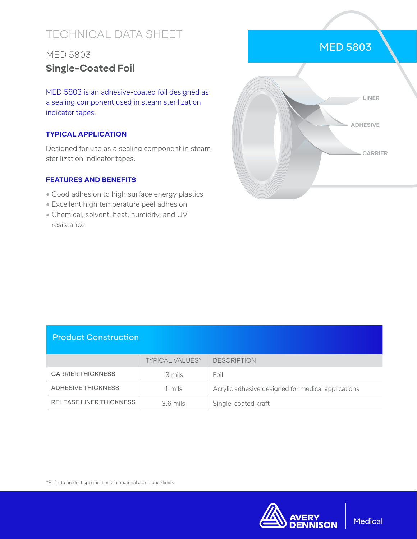# TECHNICAL DATA SHEET

## MED 5803 **Single-Coated Foil**

MED 5803 is an adhesive-coated foil designed as a sealing component used in steam sterilization indicator tapes.

#### **TYPICAL APPLICATION**

Designed for use as a sealing component in steam sterilization indicator tapes.

#### **FEATURES AND BENEFITS**

- Good adhesion to high surface energy plastics
- Excellent high temperature peel adhesion
- Chemical, solvent, heat, humidity, and UV resistance



### Product Construction

|                          | <b>TYPICAL VALUES*</b> | <b>DESCRIPTION</b>                                 |
|--------------------------|------------------------|----------------------------------------------------|
| <b>CARRIER THICKNESS</b> | 3 mils                 | Foil                                               |
| ADHESIVE THICKNESS       | 1 mils                 | Acrylic adhesive designed for medical applications |
| RELEASE LINER THICKNESS  | $3.6$ mils             | Single-coated kraft                                |